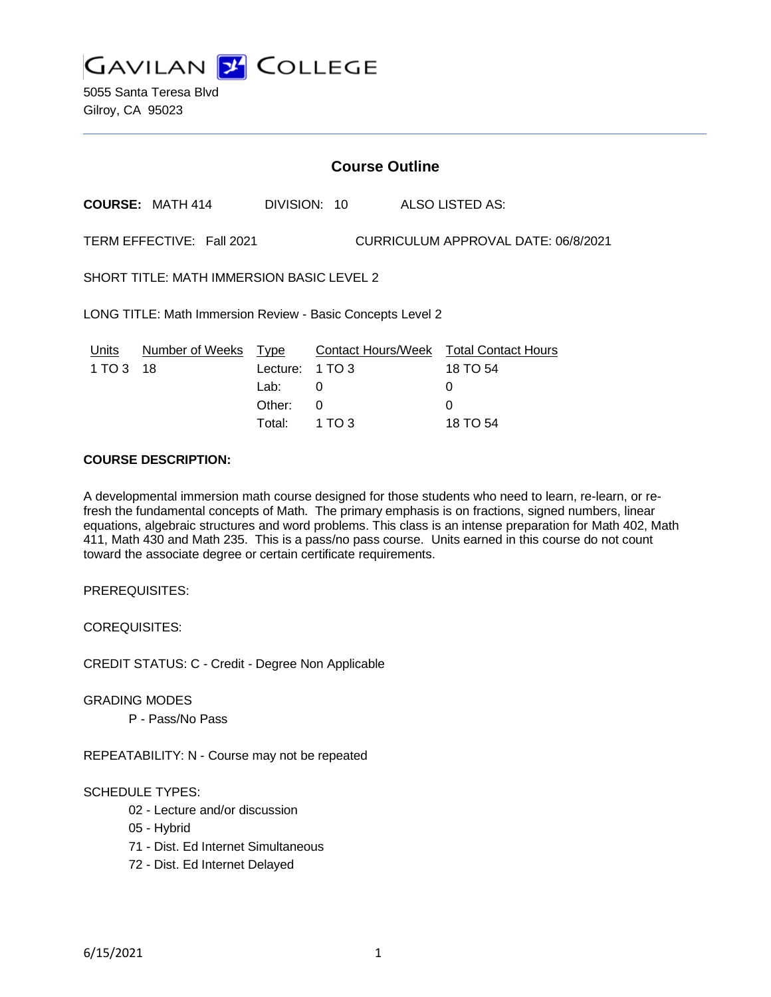**GAVILAN 2 COLLEGE** 

5055 Santa Teresa Blvd Gilroy, CA 95023

# **Course Outline**

**COURSE:** MATH 414 DIVISION: 10 ALSO LISTED AS:

TERM EFFECTIVE: Fall 2021 CURRICULUM APPROVAL DATE: 06/8/2021

SHORT TITLE: MATH IMMERSION BASIC LEVEL 2

LONG TITLE: Math Immersion Review - Basic Concepts Level 2

|           | Units Number of Weeks Type |                 | <b>Contact Hours/Week Total Contact Hours</b> |              |
|-----------|----------------------------|-----------------|-----------------------------------------------|--------------|
| 1 TO 3 18 |                            | Lecture: 1 TO 3 |                                               | 18 TO 54     |
|           |                            | Lab: __         |                                               | $\mathbf{U}$ |
|           |                            | Other: 0        |                                               | $\Omega$     |
|           |                            | Total: 1 TO 3   |                                               | 18 TO 54     |

# **COURSE DESCRIPTION:**

A developmental immersion math course designed for those students who need to learn, re-learn, or refresh the fundamental concepts of Math. The primary emphasis is on fractions, signed numbers, linear equations, algebraic structures and word problems. This class is an intense preparation for Math 402, Math 411, Math 430 and Math 235. This is a pass/no pass course. Units earned in this course do not count toward the associate degree or certain certificate requirements.

PREREQUISITES:

COREQUISITES:

CREDIT STATUS: C - Credit - Degree Non Applicable

GRADING MODES

P - Pass/No Pass

REPEATABILITY: N - Course may not be repeated

#### SCHEDULE TYPES:

- 02 Lecture and/or discussion
- 05 Hybrid
- 71 Dist. Ed Internet Simultaneous
- 72 Dist. Ed Internet Delayed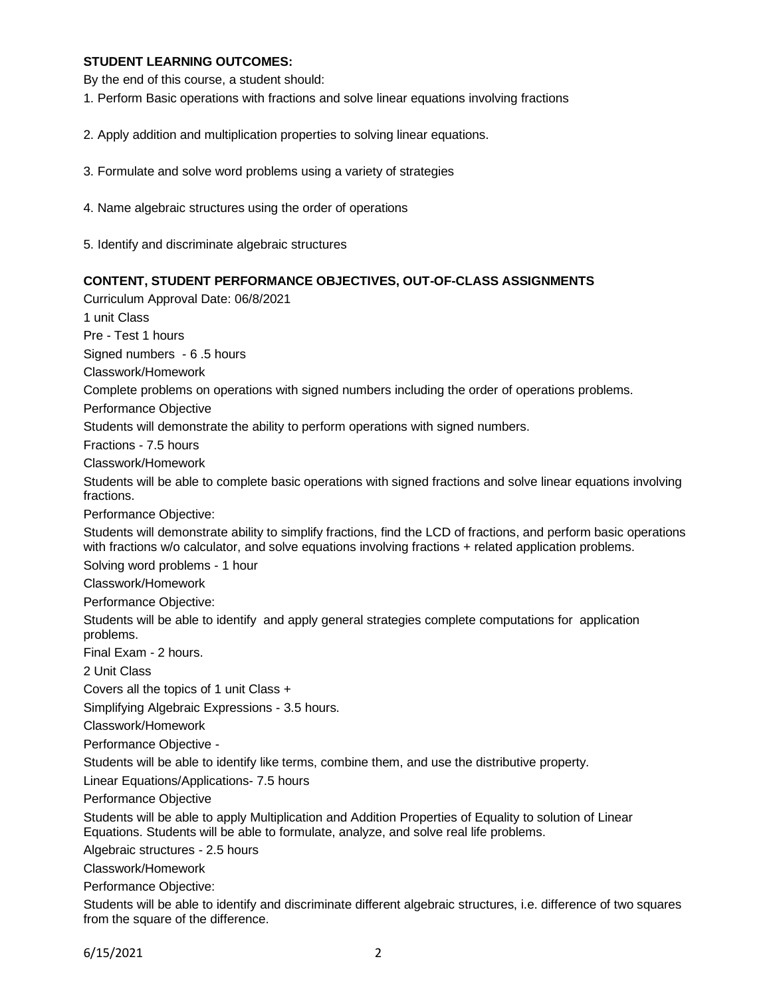### **STUDENT LEARNING OUTCOMES:**

By the end of this course, a student should:

- 1. Perform Basic operations with fractions and solve linear equations involving fractions
- 2. Apply addition and multiplication properties to solving linear equations.
- 3. Formulate and solve word problems using a variety of strategies
- 4. Name algebraic structures using the order of operations
- 5. Identify and discriminate algebraic structures

#### **CONTENT, STUDENT PERFORMANCE OBJECTIVES, OUT-OF-CLASS ASSIGNMENTS**

Curriculum Approval Date: 06/8/2021

1 unit Class Pre - Test 1 hours

Signed numbers - 6 .5 hours

Classwork/Homework

Complete problems on operations with signed numbers including the order of operations problems.

Performance Objective

Students will demonstrate the ability to perform operations with signed numbers.

Fractions - 7.5 hours

Classwork/Homework

Students will be able to complete basic operations with signed fractions and solve linear equations involving fractions.

Performance Objective:

Students will demonstrate ability to simplify fractions, find the LCD of fractions, and perform basic operations with fractions w/o calculator, and solve equations involving fractions + related application problems.

Solving word problems - 1 hour

Classwork/Homework

Performance Objective:

Students will be able to identify and apply general strategies complete computations for application problems.

Final Exam - 2 hours.

2 Unit Class

Covers all the topics of 1 unit Class +

Simplifying Algebraic Expressions - 3.5 hours.

Classwork/Homework

Performance Objective -

Students will be able to identify like terms, combine them, and use the distributive property.

Linear Equations/Applications- 7.5 hours

Performance Objective

Students will be able to apply Multiplication and Addition Properties of Equality to solution of Linear Equations. Students will be able to formulate, analyze, and solve real life problems.

Algebraic structures - 2.5 hours

Classwork/Homework

Performance Objective:

Students will be able to identify and discriminate different algebraic structures, i.e. difference of two squares from the square of the difference.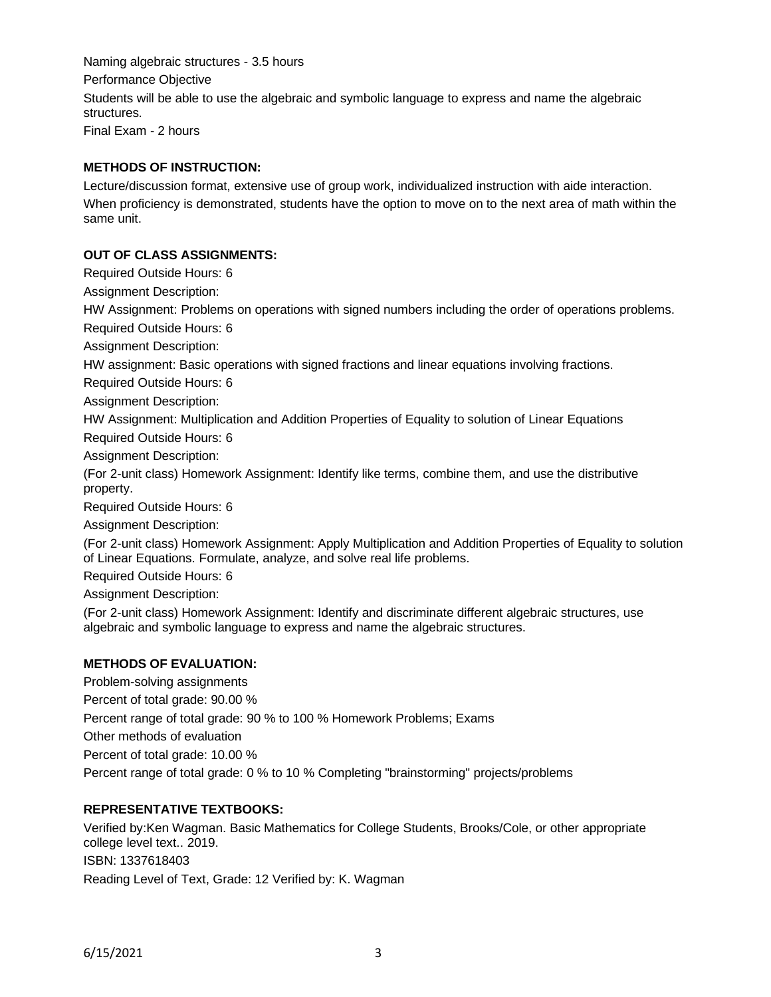Naming algebraic structures - 3.5 hours Performance Objective Students will be able to use the algebraic and symbolic language to express and name the algebraic structures.

Final Exam - 2 hours

### **METHODS OF INSTRUCTION:**

Lecture/discussion format, extensive use of group work, individualized instruction with aide interaction. When proficiency is demonstrated, students have the option to move on to the next area of math within the same unit.

### **OUT OF CLASS ASSIGNMENTS:**

Required Outside Hours: 6

Assignment Description:

HW Assignment: Problems on operations with signed numbers including the order of operations problems.

Required Outside Hours: 6

Assignment Description:

HW assignment: Basic operations with signed fractions and linear equations involving fractions.

Required Outside Hours: 6

Assignment Description:

HW Assignment: Multiplication and Addition Properties of Equality to solution of Linear Equations Required Outside Hours: 6

Assignment Description:

(For 2-unit class) Homework Assignment: Identify like terms, combine them, and use the distributive property.

Required Outside Hours: 6

Assignment Description:

(For 2-unit class) Homework Assignment: Apply Multiplication and Addition Properties of Equality to solution of Linear Equations. Formulate, analyze, and solve real life problems.

Required Outside Hours: 6

Assignment Description:

(For 2-unit class) Homework Assignment: Identify and discriminate different algebraic structures, use algebraic and symbolic language to express and name the algebraic structures.

### **METHODS OF EVALUATION:**

Problem-solving assignments Percent of total grade: 90.00 % Percent range of total grade: 90 % to 100 % Homework Problems; Exams Other methods of evaluation Percent of total grade: 10.00 % Percent range of total grade: 0 % to 10 % Completing "brainstorming" projects/problems

# **REPRESENTATIVE TEXTBOOKS:**

Verified by:Ken Wagman. Basic Mathematics for College Students, Brooks/Cole, or other appropriate college level text.. 2019. ISBN: 1337618403 Reading Level of Text, Grade: 12 Verified by: K. Wagman